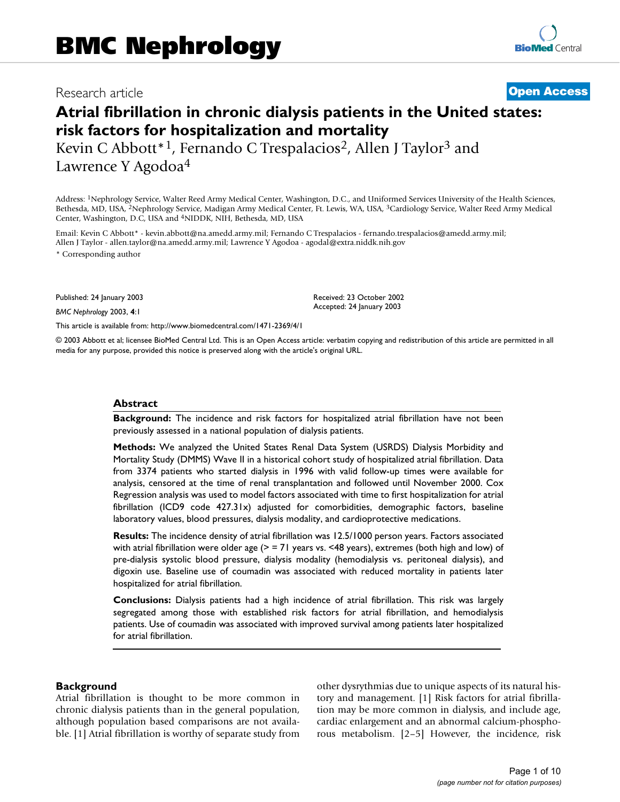## Research article **[Open Access](http://www.biomedcentral.com/info/about/charter/)**

# **Atrial fibrillation in chronic dialysis patients in the United states: risk factors for hospitalization and mortality**

Kevin C Abbott<sup>\*1</sup>, Fernando C Trespalacios<sup>2</sup>, Allen J Taylor<sup>3</sup> and Lawrence Y Agodoa4

Address: 1Nephrology Service, Walter Reed Army Medical Center, Washington, D.C., and Uniformed Services University of the Health Sciences, Bethesda, MD, USA, 2Nephrology Service, Madigan Army Medical Center, Ft. Lewis, WA, USA, 3Cardiology Service, Walter Reed Army Medical Center, Washington, D.C, USA and 4NIDDK, NIH, Bethesda, MD, USA

Email: Kevin C Abbott\* - kevin.abbott@na.amedd.army.mil; Fernando C Trespalacios - fernando.trespalacios@amedd.army.mil; Allen J Taylor - allen.taylor@na.amedd.army.mil; Lawrence Y Agodoa - agodal@extra.niddk.nih.gov

\* Corresponding author

Published: 24 January 2003

*BMC Nephrology* 2003, **4**:1

[This article is available from: http://www.biomedcentral.com/1471-2369/4/1](http://www.biomedcentral.com/1471-2369/4/1)

© 2003 Abbott et al; licensee BioMed Central Ltd. This is an Open Access article: verbatim copying and redistribution of this article are permitted in all media for any purpose, provided this notice is preserved along with the article's original URL.

Received: 23 October 2002 Accepted: 24 January 2003

### **Abstract**

**Background:** The incidence and risk factors for hospitalized atrial fibrillation have not been previously assessed in a national population of dialysis patients.

**Methods:** We analyzed the United States Renal Data System (USRDS) Dialysis Morbidity and Mortality Study (DMMS) Wave II in a historical cohort study of hospitalized atrial fibrillation. Data from 3374 patients who started dialysis in 1996 with valid follow-up times were available for analysis, censored at the time of renal transplantation and followed until November 2000. Cox Regression analysis was used to model factors associated with time to first hospitalization for atrial fibrillation (ICD9 code 427.31x) adjusted for comorbidities, demographic factors, baseline laboratory values, blood pressures, dialysis modality, and cardioprotective medications.

**Results:** The incidence density of atrial fibrillation was 12.5/1000 person years. Factors associated with atrial fibrillation were older age ( $>$  = 71 years vs. <48 years), extremes (both high and low) of pre-dialysis systolic blood pressure, dialysis modality (hemodialysis vs. peritoneal dialysis), and digoxin use. Baseline use of coumadin was associated with reduced mortality in patients later hospitalized for atrial fibrillation.

**Conclusions:** Dialysis patients had a high incidence of atrial fibrillation. This risk was largely segregated among those with established risk factors for atrial fibrillation, and hemodialysis patients. Use of coumadin was associated with improved survival among patients later hospitalized for atrial fibrillation.

## **Background**

Atrial fibrillation is thought to be more common in chronic dialysis patients than in the general population, although population based comparisons are not available. [1] Atrial fibrillation is worthy of separate study from other dysrythmias due to unique aspects of its natural history and management. [1] Risk factors for atrial fibrillation may be more common in dialysis, and include age, cardiac enlargement and an abnormal calcium-phosphorous metabolism. [2–5] However, the incidence, risk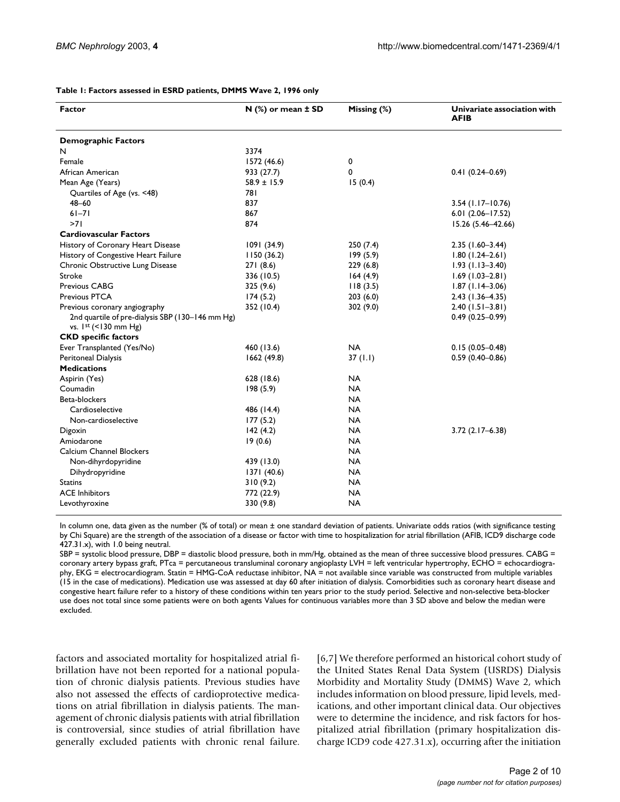| <b>Factor</b>                                                              | $N$ (%) or mean $\pm$ SD | Missing (%) | Univariate association with<br>AFIB |
|----------------------------------------------------------------------------|--------------------------|-------------|-------------------------------------|
| <b>Demographic Factors</b>                                                 |                          |             |                                     |
| N                                                                          | 3374                     |             |                                     |
| Female                                                                     | 1572 (46.6)              | 0           |                                     |
| African American                                                           | 933 (27.7)               | 0           | $0.41(0.24 - 0.69)$                 |
| Mean Age (Years)                                                           | $58.9 \pm 15.9$          | 15(0.4)     |                                     |
| Quartiles of Age (vs. <48)                                                 | 781                      |             |                                     |
| $48 - 60$                                                                  | 837                      |             | $3.54$ (1.17-10.76)                 |
| $61 - 71$                                                                  | 867                      |             | $6.01(2.06 - 17.52)$                |
| >71                                                                        | 874                      |             | 15.26 (5.46-42.66)                  |
| <b>Cardiovascular Factors</b>                                              |                          |             |                                     |
| History of Coronary Heart Disease                                          | 1091(34.9)               | 250(7.4)    | $2.35$ (1.60-3.44)                  |
| History of Congestive Heart Failure                                        | 1150(36.2)               | 199(5.9)    | $1.80(1.24 - 2.61)$                 |
| Chronic Obstructive Lung Disease                                           | 271(8.6)                 | 229(6.8)    | $1.93(1.13 - 3.40)$                 |
| Stroke                                                                     | 336 (10.5)               | 164(4.9)    | $1.69(1.03 - 2.81)$                 |
| Previous CABG                                                              | 325 (9.6)                | 118(3.5)    | $1.87(1.14-3.06)$                   |
| Previous PTCA                                                              | 174(5.2)                 | 203(6.0)    | $2.43(1.36 - 4.35)$                 |
| Previous coronary angiography                                              | 352 (10.4)               | 302(9.0)    | $2.40(1.51 - 3.81)$                 |
| 2nd quartile of pre-dialysis SBP (130-146 mm Hg)<br>vs. $1st$ (<130 mm Hg) |                          |             | $0.49(0.25 - 0.99)$                 |
| <b>CKD</b> specific factors                                                |                          |             |                                     |
| Ever Transplanted (Yes/No)                                                 | 460 (13.6)               | <b>NA</b>   | $0.15(0.05 - 0.48)$                 |
| Peritoneal Dialysis                                                        | 1662 (49.8)              | 37(1.1)     | $0.59(0.40 - 0.86)$                 |
| <b>Medications</b>                                                         |                          |             |                                     |
| Aspirin (Yes)                                                              | 628 (18.6)               | <b>NA</b>   |                                     |
| Coumadin                                                                   | 198(5.9)                 | <b>NA</b>   |                                     |
| Beta-blockers                                                              |                          | <b>NA</b>   |                                     |
| Cardioselective                                                            | 486 (14.4)               | <b>NA</b>   |                                     |
| Non-cardioselective                                                        | 177(5.2)                 | <b>NA</b>   |                                     |
| Digoxin                                                                    | 142(4.2)                 | NA          | $3.72(2.17 - 6.38)$                 |
| Amiodarone                                                                 | 19(0.6)                  | <b>NA</b>   |                                     |
| Calcium Channel Blockers                                                   |                          | <b>NA</b>   |                                     |
| Non-dihyrdopyridine                                                        | 439 (13.0)               | <b>NA</b>   |                                     |
| Dihydropyridine                                                            | 1371 (40.6)              | <b>NA</b>   |                                     |
| <b>Statins</b>                                                             | 310(9.2)                 | <b>NA</b>   |                                     |
| <b>ACE Inhibitors</b>                                                      | 772 (22.9)               | <b>NA</b>   |                                     |
| Levothyroxine                                                              | 330 (9.8)                | <b>NA</b>   |                                     |

#### <span id="page-1-0"></span>**Table 1: Factors assessed in ESRD patients, DMMS Wave 2, 1996 only**

In column one, data given as the number (% of total) or mean ± one standard deviation of patients. Univariate odds ratios (with significance testing by Chi Square) are the strength of the association of a disease or factor with time to hospitalization for atrial fibrillation (AFIB, ICD9 discharge code 427.31.x), with 1.0 being neutral.

SBP = systolic blood pressure, DBP = diastolic blood pressure, both in mm/Hg, obtained as the mean of three successive blood pressures. CABG = coronary artery bypass graft, PTca = percutaneous transluminal coronary angioplasty LVH = left ventricular hypertrophy, ECHO = echocardiography, EKG = electrocardiogram. Statin = HMG-CoA reductase inhibitor, NA = not available since variable was constructed from multiple variables (15 in the case of medications). Medication use was assessed at day 60 after initiation of dialysis. Comorbidities such as coronary heart disease and congestive heart failure refer to a history of these conditions within ten years prior to the study period. Selective and non-selective beta-blocker use does not total since some patients were on both agents Values for continuous variables more than 3 SD above and below the median were excluded.

factors and associated mortality for hospitalized atrial fibrillation have not been reported for a national population of chronic dialysis patients. Previous studies have also not assessed the effects of cardioprotective medications on atrial fibrillation in dialysis patients. The management of chronic dialysis patients with atrial fibrillation is controversial, since studies of atrial fibrillation have generally excluded patients with chronic renal failure.

[6,7] We therefore performed an historical cohort study of the United States Renal Data System (USRDS) Dialysis Morbidity and Mortality Study (DMMS) Wave 2, which includes information on blood pressure, lipid levels, medications, and other important clinical data. Our objectives were to determine the incidence, and risk factors for hospitalized atrial fibrillation (primary hospitalization discharge ICD9 code 427.31.x), occurring after the initiation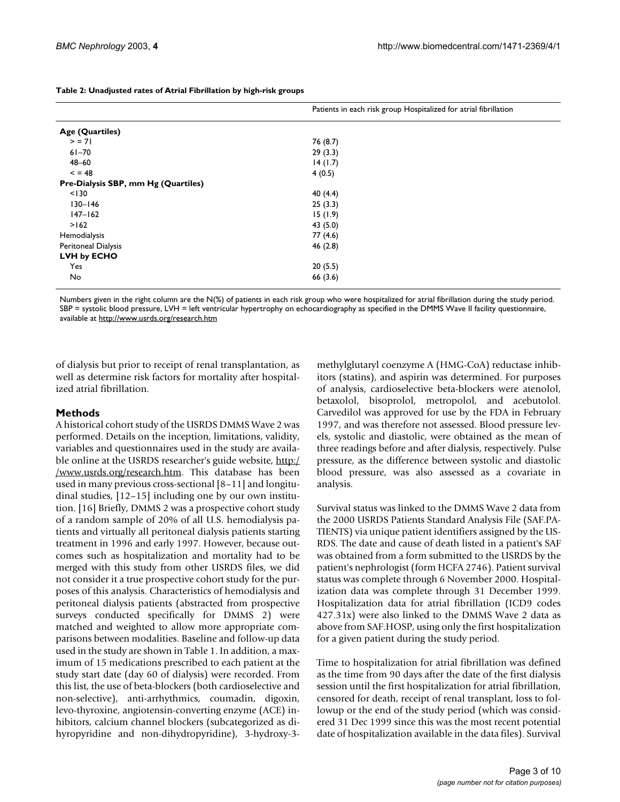|                                     | Patients in each risk group Hospitalized for atrial fibrillation |  |
|-------------------------------------|------------------------------------------------------------------|--|
| Age (Quartiles)                     |                                                                  |  |
| > 71                                | 76 (8.7)                                                         |  |
| $61 - 70$                           | 29(3.3)                                                          |  |
| $48 - 60$                           | 14(1.7)                                                          |  |
| < 48                                | 4(0.5)                                                           |  |
| Pre-Dialysis SBP, mm Hg (Quartiles) |                                                                  |  |
| < 130                               | 40 (4.4)                                                         |  |
| $130 - 146$                         | 25(3.3)                                                          |  |
| $147 - 162$                         | 15(1.9)                                                          |  |
| >162                                | 43 (5.0)                                                         |  |
| Hemodialysis                        | 77 (4.6)                                                         |  |
| Peritoneal Dialysis                 | 46(2.8)                                                          |  |
| LVH by ECHO                         |                                                                  |  |
| Yes                                 | 20(5.5)                                                          |  |
| No                                  | 66 (3.6)                                                         |  |

<span id="page-2-0"></span>**Table 2: Unadjusted rates of Atrial Fibrillation by high-risk groups**

Numbers given in the right column are the N(%) of patients in each risk group who were hospitalized for atrial fibrillation during the study period. SBP = systolic blood pressure, LVH = left ventricular hypertrophy on echocardiography as specified in the DMMS Wave II facility questionnaire, available at <http://www.usrds.org/research.htm>

of dialysis but prior to receipt of renal transplantation, as well as determine risk factors for mortality after hospitalized atrial fibrillation.

## **Methods**

A historical cohort study of the USRDS DMMS Wave 2 was performed. Details on the inception, limitations, validity, variables and questionnaires used in the study are available online at the USRDS researcher's guide website, [http:/](http://www.usrds.org/research.htm) [/www.usrds.org/research.htm](http://www.usrds.org/research.htm). This database has been used in many previous cross-sectional [8–11] and longitudinal studies, [12–15] including one by our own institution. [16] Briefly, DMMS 2 was a prospective cohort study of a random sample of 20% of all U.S. hemodialysis patients and virtually all peritoneal dialysis patients starting treatment in 1996 and early 1997. However, because outcomes such as hospitalization and mortality had to be merged with this study from other USRDS files, we did not consider it a true prospective cohort study for the purposes of this analysis. Characteristics of hemodialysis and peritoneal dialysis patients (abstracted from prospective surveys conducted specifically for DMMS 2) were matched and weighted to allow more appropriate comparisons between modalities. Baseline and follow-up data used in the study are shown in Table [1.](#page-1-0) In addition, a maximum of 15 medications prescribed to each patient at the study start date (day 60 of dialysis) were recorded. From this list, the use of beta-blockers (both cardioselective and non-selective), anti-arrhythmics, coumadin, digoxin, levo-thyroxine, angiotensin-converting enzyme (ACE) inhibitors, calcium channel blockers (subcategorized as dihyropyridine and non-dihydropyridine), 3-hydroxy-3methylglutaryl coenzyme A (HMG-CoA) reductase inhibitors (statins), and aspirin was determined. For purposes of analysis, cardioselective beta-blockers were atenolol, betaxolol, bisoprolol, metropolol, and acebutolol. Carvedilol was approved for use by the FDA in February 1997, and was therefore not assessed. Blood pressure levels, systolic and diastolic, were obtained as the mean of three readings before and after dialysis, respectively. Pulse pressure, as the difference between systolic and diastolic blood pressure, was also assessed as a covariate in analysis.

Survival status was linked to the DMMS Wave 2 data from the 2000 USRDS Patients Standard Analysis File (SAF.PA-TIENTS) via unique patient identifiers assigned by the US-RDS. The date and cause of death listed in a patient's SAF was obtained from a form submitted to the USRDS by the patient's nephrologist (form HCFA 2746). Patient survival status was complete through 6 November 2000. Hospitalization data was complete through 31 December 1999. Hospitalization data for atrial fibrillation (ICD9 codes 427.31x) were also linked to the DMMS Wave 2 data as above from SAF.HOSP, using only the first hospitalization for a given patient during the study period.

Time to hospitalization for atrial fibrillation was defined as the time from 90 days after the date of the first dialysis session until the first hospitalization for atrial fibrillation, censored for death, receipt of renal transplant, loss to followup or the end of the study period (which was considered 31 Dec 1999 since this was the most recent potential date of hospitalization available in the data files). Survival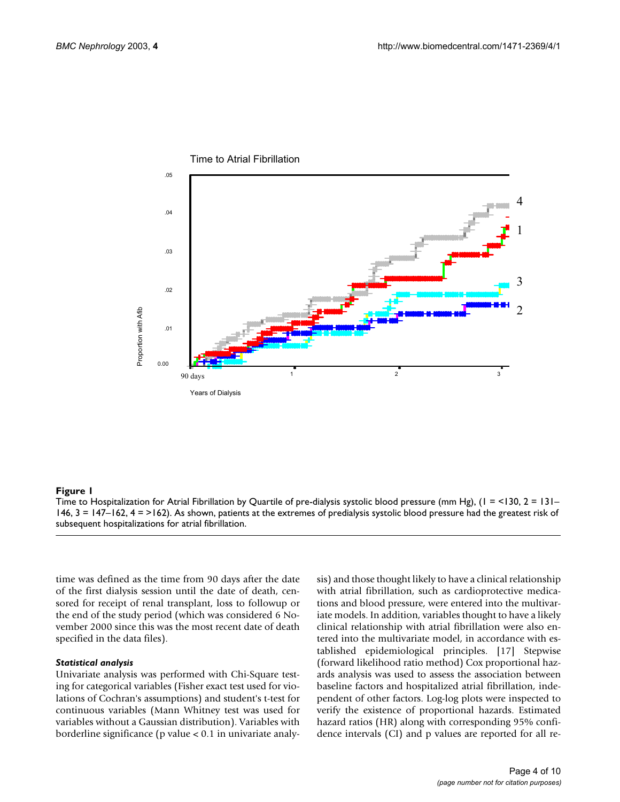

## **Figure 1**

Time to Hospitalization for Atrial Fibrillation by Quartile of pre-dialysis systolic blood pressure (mm Hg), (1 = <130, 2 = 131– 146, 3 = 147–162, 4 = >162). As shown, patients at the extremes of predialysis systolic blood pressure had the greatest risk of subsequent hospitalizations for atrial fibrillation.

time was defined as the time from 90 days after the date of the first dialysis session until the date of death, censored for receipt of renal transplant, loss to followup or the end of the study period (which was considered 6 November 2000 since this was the most recent date of death specified in the data files).

#### *Statistical analysis*

Univariate analysis was performed with Chi-Square testing for categorical variables (Fisher exact test used for violations of Cochran's assumptions) and student's t-test for continuous variables (Mann Whitney test was used for variables without a Gaussian distribution). Variables with borderline significance (p value < 0.1 in univariate analysis) and those thought likely to have a clinical relationship with atrial fibrillation, such as cardioprotective medications and blood pressure, were entered into the multivariate models. In addition, variables thought to have a likely clinical relationship with atrial fibrillation were also entered into the multivariate model, in accordance with established epidemiological principles. [17] Stepwise (forward likelihood ratio method) Cox proportional hazards analysis was used to assess the association between baseline factors and hospitalized atrial fibrillation, independent of other factors. Log-log plots were inspected to verify the existence of proportional hazards. Estimated hazard ratios (HR) along with corresponding 95% confidence intervals (CI) and p values are reported for all re-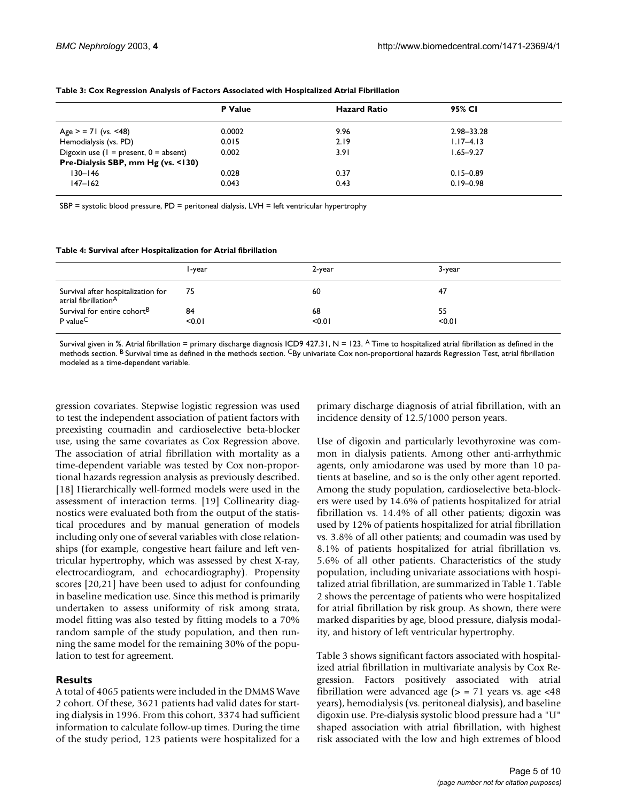|                                            | P Value | <b>Hazard Ratio</b> | 95% CI        |  |
|--------------------------------------------|---------|---------------------|---------------|--|
|                                            |         |                     |               |  |
| Age $>$ = 71 (vs. <48)                     | 0.0002  | 9.96                | 2.98-33.28    |  |
| Hemodialysis (vs. PD)                      | 0.015   | 2.19                | $1.17 - 4.13$ |  |
| Digoxin use ( $I =$ present, $0 =$ absent) | 0.002   | 3.91                | $1.65 - 9.27$ |  |
| Pre-Dialysis SBP, mm Hg (vs. <130)         |         |                     |               |  |
| $130 - 146$                                | 0.028   | 0.37                | $0.15 - 0.89$ |  |
| $147 - 162$                                | 0.043   | 0.43                | $0.19 - 0.98$ |  |

#### <span id="page-4-0"></span>**Table 3: Cox Regression Analysis of Factors Associated with Hospitalized Atrial Fibrillation**

SBP = systolic blood pressure, PD = peritoneal dialysis, LVH = left ventricular hypertrophy

#### <span id="page-4-1"></span>**Table 4: Survival after Hospitalization for Atrial fibrillation**

|                                                            | l -year | 2-year | 3-year |
|------------------------------------------------------------|---------|--------|--------|
| Survival after hospitalization for<br>atrial fibrillationA | 75      | 60     | 47     |
| Survival for entire cohort <sup>B</sup>                    | 84      | 68     | 55     |
| P value <sup>C</sup>                                       | < 0.01  | < 0.01 | < 0.01 |

Survival given in %. Atrial fibrillation = primary discharge diagnosis ICD9 427.31, N = 123. A Time to hospitalized atrial fibrillation as defined in the methods section. <sup>B</sup> Survival time as defined in the methods section. CBy univariate Cox non-proportional hazards Regression Test, atrial fibrillation modeled as a time-dependent variable.

gression covariates. Stepwise logistic regression was used to test the independent association of patient factors with preexisting coumadin and cardioselective beta-blocker use, using the same covariates as Cox Regression above. The association of atrial fibrillation with mortality as a time-dependent variable was tested by Cox non-proportional hazards regression analysis as previously described. [18] Hierarchically well-formed models were used in the assessment of interaction terms. [19] Collinearity diagnostics were evaluated both from the output of the statistical procedures and by manual generation of models including only one of several variables with close relationships (for example, congestive heart failure and left ventricular hypertrophy, which was assessed by chest X-ray, electrocardiogram, and echocardiography). Propensity scores [20,21] have been used to adjust for confounding in baseline medication use. Since this method is primarily undertaken to assess uniformity of risk among strata, model fitting was also tested by fitting models to a 70% random sample of the study population, and then running the same model for the remaining 30% of the population to test for agreement.

## **Results**

A total of 4065 patients were included in the DMMS Wave 2 cohort. Of these, 3621 patients had valid dates for starting dialysis in 1996. From this cohort, 3374 had sufficient information to calculate follow-up times. During the time of the study period, 123 patients were hospitalized for a

primary discharge diagnosis of atrial fibrillation, with an incidence density of 12.5/1000 person years.

Use of digoxin and particularly levothyroxine was common in dialysis patients. Among other anti-arrhythmic agents, only amiodarone was used by more than 10 patients at baseline, and so is the only other agent reported. Among the study population, cardioselective beta-blockers were used by 14.6% of patients hospitalized for atrial fibrillation vs. 14.4% of all other patients; digoxin was used by 12% of patients hospitalized for atrial fibrillation vs. 3.8% of all other patients; and coumadin was used by 8.1% of patients hospitalized for atrial fibrillation vs. 5.6% of all other patients. Characteristics of the study population, including univariate associations with hospitalized atrial fibrillation, are summarized in Table [1.](#page-1-0) Table [2](#page-2-0) shows the percentage of patients who were hospitalized for atrial fibrillation by risk group. As shown, there were marked disparities by age, blood pressure, dialysis modality, and history of left ventricular hypertrophy.

Table [3](#page-4-0) shows significant factors associated with hospitalized atrial fibrillation in multivariate analysis by Cox Regression. Factors positively associated with atrial fibrillation were advanced age  $(>$  = 71 years vs. age  $<48$ years), hemodialysis (vs. peritoneal dialysis), and baseline digoxin use. Pre-dialysis systolic blood pressure had a "U" shaped association with atrial fibrillation, with highest risk associated with the low and high extremes of blood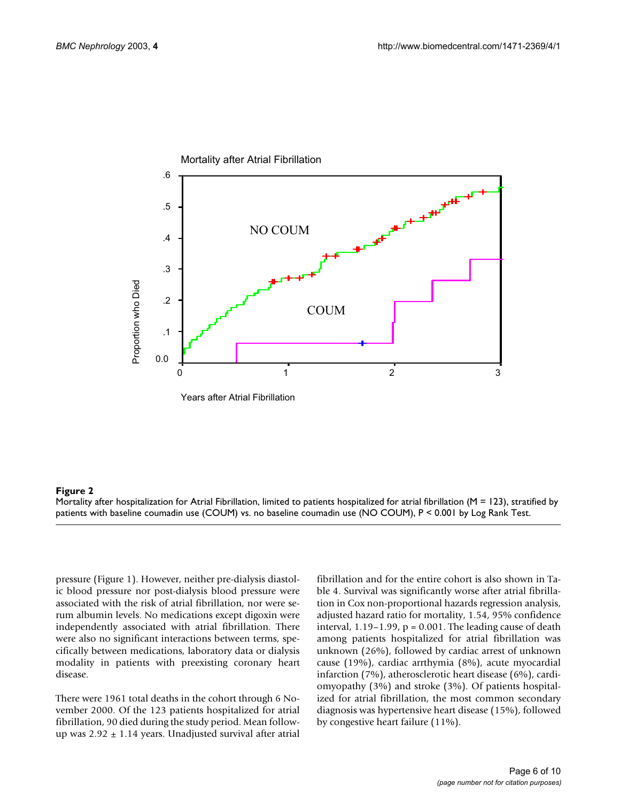

#### **Figure 2**

Mortality after hospitalization for Atrial Fibrillation, limited to patients hospitalized for atrial fibrillation ( $M = 123$ ), stratified by patients with baseline coumadin use (COUM) vs. no baseline coumadin use (NO COUM), P < 0.001 by Log Rank Test.

pressure (Figure 1). However, neither pre-dialysis diastolic blood pressure nor post-dialysis blood pressure were associated with the risk of atrial fibrillation, nor were serum albumin levels. No medications except digoxin were independently associated with atrial fibrillation. There were also no significant interactions between terms, specifically between medications, laboratory data or dialysis modality in patients with preexisting coronary heart disease.

There were 1961 total deaths in the cohort through 6 November 2000. Of the 123 patients hospitalized for atrial fibrillation, 90 died during the study period. Mean followup was  $2.92 \pm 1.14$  years. Unadjusted survival after atrial fibrillation and for the entire cohort is also shown in Table [4](#page-4-1). Survival was significantly worse after atrial fibrillation in Cox non-proportional hazards regression analysis, adjusted hazard ratio for mortality, 1.54, 95% confidence interval,  $1.19-1.99$ ,  $p = 0.001$ . The leading cause of death among patients hospitalized for atrial fibrillation was unknown (26%), followed by cardiac arrest of unknown cause (19%), cardiac arrthymia (8%), acute myocardial infarction (7%), atherosclerotic heart disease (6%), cardiomyopathy (3%) and stroke (3%). Of patients hospitalized for atrial fibrillation, the most common secondary diagnosis was hypertensive heart disease (15%), followed by congestive heart failure (11%).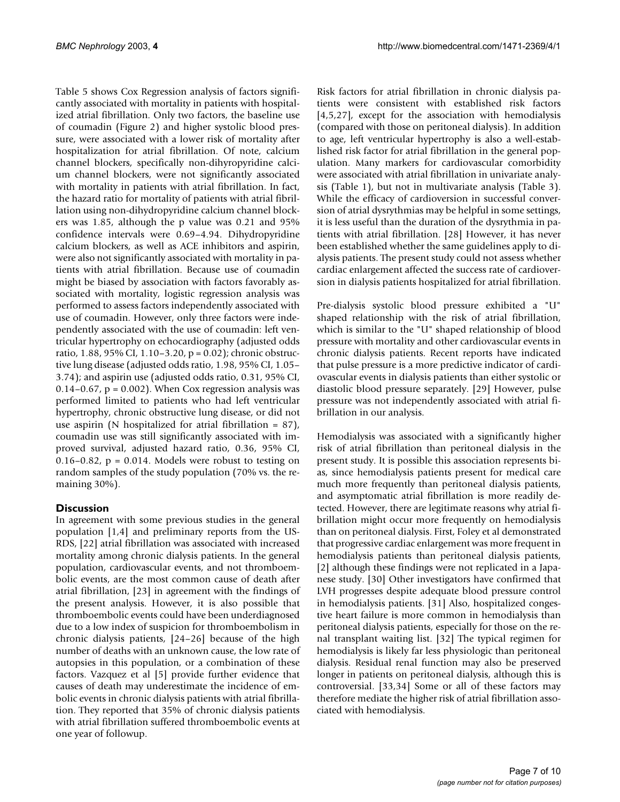Table [5](#page-7-0) shows Cox Regression analysis of factors significantly associated with mortality in patients with hospitalized atrial fibrillation. Only two factors, the baseline use of coumadin (Figure 2) and higher systolic blood pressure, were associated with a lower risk of mortality after hospitalization for atrial fibrillation. Of note, calcium channel blockers, specifically non-dihyropyridine calcium channel blockers, were not significantly associated with mortality in patients with atrial fibrillation. In fact, the hazard ratio for mortality of patients with atrial fibrillation using non-dihydropyridine calcium channel blockers was 1.85, although the p value was 0.21 and 95% confidence intervals were 0.69–4.94. Dihydropyridine calcium blockers, as well as ACE inhibitors and aspirin, were also not significantly associated with mortality in patients with atrial fibrillation. Because use of coumadin might be biased by association with factors favorably associated with mortality, logistic regression analysis was performed to assess factors independently associated with use of coumadin. However, only three factors were independently associated with the use of coumadin: left ventricular hypertrophy on echocardiography (adjusted odds ratio, 1.88, 95% CI, 1.10–3.20, p = 0.02); chronic obstructive lung disease (adjusted odds ratio, 1.98, 95% CI, 1.05– 3.74); and aspirin use (adjusted odds ratio, 0.31, 95% CI, 0.14–0.67,  $p = 0.002$ ). When Cox regression analysis was performed limited to patients who had left ventricular hypertrophy, chronic obstructive lung disease, or did not use aspirin (N hospitalized for atrial fibrillation = 87), coumadin use was still significantly associated with improved survival, adjusted hazard ratio, 0.36, 95% CI, 0.16–0.82,  $p = 0.014$ . Models were robust to testing on random samples of the study population (70% vs. the remaining 30%).

## **Discussion**

In agreement with some previous studies in the general population [1,4] and preliminary reports from the US-RDS, [22] atrial fibrillation was associated with increased mortality among chronic dialysis patients. In the general population, cardiovascular events, and not thromboembolic events, are the most common cause of death after atrial fibrillation, [23] in agreement with the findings of the present analysis. However, it is also possible that thromboembolic events could have been underdiagnosed due to a low index of suspicion for thromboembolism in chronic dialysis patients, [24–26] because of the high number of deaths with an unknown cause, the low rate of autopsies in this population, or a combination of these factors. Vazquez et al [5] provide further evidence that causes of death may underestimate the incidence of embolic events in chronic dialysis patients with atrial fibrillation. They reported that 35% of chronic dialysis patients with atrial fibrillation suffered thromboembolic events at one year of followup.

Risk factors for atrial fibrillation in chronic dialysis patients were consistent with established risk factors [4,5,27], except for the association with hemodialysis (compared with those on peritoneal dialysis). In addition to age, left ventricular hypertrophy is also a well-established risk factor for atrial fibrillation in the general population. Many markers for cardiovascular comorbidity were associated with atrial fibrillation in univariate analysis (Table [1\)](#page-1-0), but not in multivariate analysis (Table [3\)](#page-4-0). While the efficacy of cardioversion in successful conversion of atrial dysrythmias may be helpful in some settings, it is less useful than the duration of the dysrythmia in patients with atrial fibrillation. [28] However, it has never been established whether the same guidelines apply to dialysis patients. The present study could not assess whether cardiac enlargement affected the success rate of cardioversion in dialysis patients hospitalized for atrial fibrillation.

Pre-dialysis systolic blood pressure exhibited a "U" shaped relationship with the risk of atrial fibrillation, which is similar to the "U" shaped relationship of blood pressure with mortality and other cardiovascular events in chronic dialysis patients. Recent reports have indicated that pulse pressure is a more predictive indicator of cardiovascular events in dialysis patients than either systolic or diastolic blood pressure separately. [29] However, pulse pressure was not independently associated with atrial fibrillation in our analysis.

Hemodialysis was associated with a significantly higher risk of atrial fibrillation than peritoneal dialysis in the present study. It is possible this association represents bias, since hemodialysis patients present for medical care much more frequently than peritoneal dialysis patients, and asymptomatic atrial fibrillation is more readily detected. However, there are legitimate reasons why atrial fibrillation might occur more frequently on hemodialysis than on peritoneal dialysis. First, Foley et al demonstrated that progressive cardiac enlargement was more frequent in hemodialysis patients than peritoneal dialysis patients, [2] although these findings were not replicated in a Japanese study. [30] Other investigators have confirmed that LVH progresses despite adequate blood pressure control in hemodialysis patients. [31] Also, hospitalized congestive heart failure is more common in hemodialysis than peritoneal dialysis patients, especially for those on the renal transplant waiting list. [32] The typical regimen for hemodialysis is likely far less physiologic than peritoneal dialysis. Residual renal function may also be preserved longer in patients on peritoneal dialysis, although this is controversial. [33,34] Some or all of these factors may therefore mediate the higher risk of atrial fibrillation associated with hemodialysis.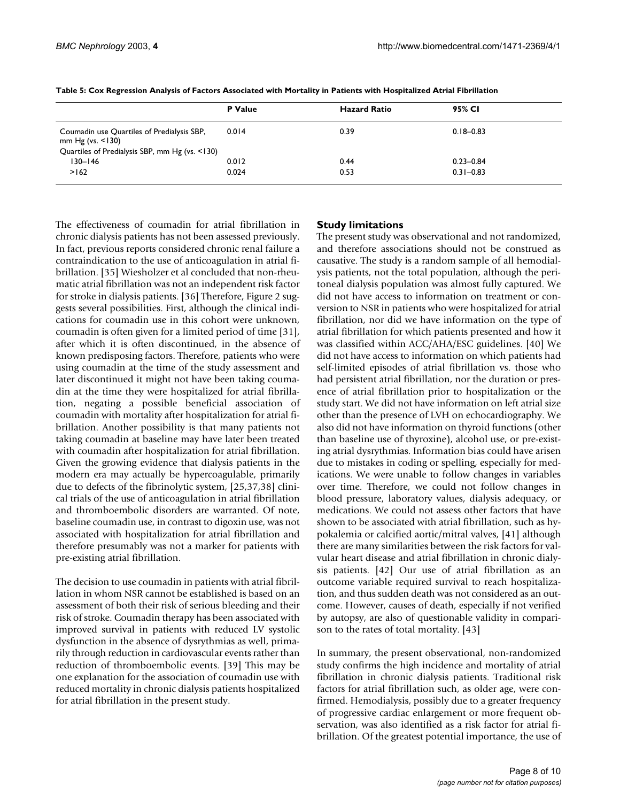|                                                                   | P Value | <b>Hazard Ratio</b> | 95% CI        |
|-------------------------------------------------------------------|---------|---------------------|---------------|
|                                                                   |         |                     |               |
| Coumadin use Quartiles of Predialysis SBP,<br>mm Hg (vs. $<$ 130) | 0.014   | 0.39                | $0.18 - 0.83$ |
| Quartiles of Predialysis SBP, mm Hg (vs. <130)                    |         |                     |               |
| $130 - 146$                                                       | 0.012   | 0.44                | $0.23 - 0.84$ |
| >162                                                              | 0.024   | 0.53                | $0.31 - 0.83$ |

<span id="page-7-0"></span>**Table 5: Cox Regression Analysis of Factors Associated with Mortality in Patients with Hospitalized Atrial Fibrillation**

The effectiveness of coumadin for atrial fibrillation in chronic dialysis patients has not been assessed previously. In fact, previous reports considered chronic renal failure a contraindication to the use of anticoagulation in atrial fibrillation. [35] Wiesholzer et al concluded that non-rheumatic atrial fibrillation was not an independent risk factor for stroke in dialysis patients. [36] Therefore, Figure 2 suggests several possibilities. First, although the clinical indications for coumadin use in this cohort were unknown, coumadin is often given for a limited period of time [31], after which it is often discontinued, in the absence of known predisposing factors. Therefore, patients who were using coumadin at the time of the study assessment and later discontinued it might not have been taking coumadin at the time they were hospitalized for atrial fibrillation, negating a possible beneficial association of coumadin with mortality after hospitalization for atrial fibrillation. Another possibility is that many patients not taking coumadin at baseline may have later been treated with coumadin after hospitalization for atrial fibrillation. Given the growing evidence that dialysis patients in the modern era may actually be hypercoagulable, primarily due to defects of the fibrinolytic system, [25,37,38] clinical trials of the use of anticoagulation in atrial fibrillation and thromboembolic disorders are warranted. Of note, baseline coumadin use, in contrast to digoxin use, was not associated with hospitalization for atrial fibrillation and therefore presumably was not a marker for patients with pre-existing atrial fibrillation.

The decision to use coumadin in patients with atrial fibrillation in whom NSR cannot be established is based on an assessment of both their risk of serious bleeding and their risk of stroke. Coumadin therapy has been associated with improved survival in patients with reduced LV systolic dysfunction in the absence of dysrythmias as well, primarily through reduction in cardiovascular events rather than reduction of thromboembolic events. [39] This may be one explanation for the association of coumadin use with reduced mortality in chronic dialysis patients hospitalized for atrial fibrillation in the present study.

## **Study limitations**

The present study was observational and not randomized, and therefore associations should not be construed as causative. The study is a random sample of all hemodialysis patients, not the total population, although the peritoneal dialysis population was almost fully captured. We did not have access to information on treatment or conversion to NSR in patients who were hospitalized for atrial fibrillation, nor did we have information on the type of atrial fibrillation for which patients presented and how it was classified within ACC/AHA/ESC guidelines. [40] We did not have access to information on which patients had self-limited episodes of atrial fibrillation vs. those who had persistent atrial fibrillation, nor the duration or presence of atrial fibrillation prior to hospitalization or the study start. We did not have information on left atrial size other than the presence of LVH on echocardiography. We also did not have information on thyroid functions (other than baseline use of thyroxine), alcohol use, or pre-existing atrial dysrythmias. Information bias could have arisen due to mistakes in coding or spelling, especially for medications. We were unable to follow changes in variables over time. Therefore, we could not follow changes in blood pressure, laboratory values, dialysis adequacy, or medications. We could not assess other factors that have shown to be associated with atrial fibrillation, such as hypokalemia or calcified aortic/mitral valves, [41] although there are many similarities between the risk factors for valvular heart disease and atrial fibrillation in chronic dialysis patients. [42] Our use of atrial fibrillation as an outcome variable required survival to reach hospitalization, and thus sudden death was not considered as an outcome. However, causes of death, especially if not verified by autopsy, are also of questionable validity in comparison to the rates of total mortality. [43]

In summary, the present observational, non-randomized study confirms the high incidence and mortality of atrial fibrillation in chronic dialysis patients. Traditional risk factors for atrial fibrillation such, as older age, were confirmed. Hemodialysis, possibly due to a greater frequency of progressive cardiac enlargement or more frequent observation, was also identified as a risk factor for atrial fibrillation. Of the greatest potential importance, the use of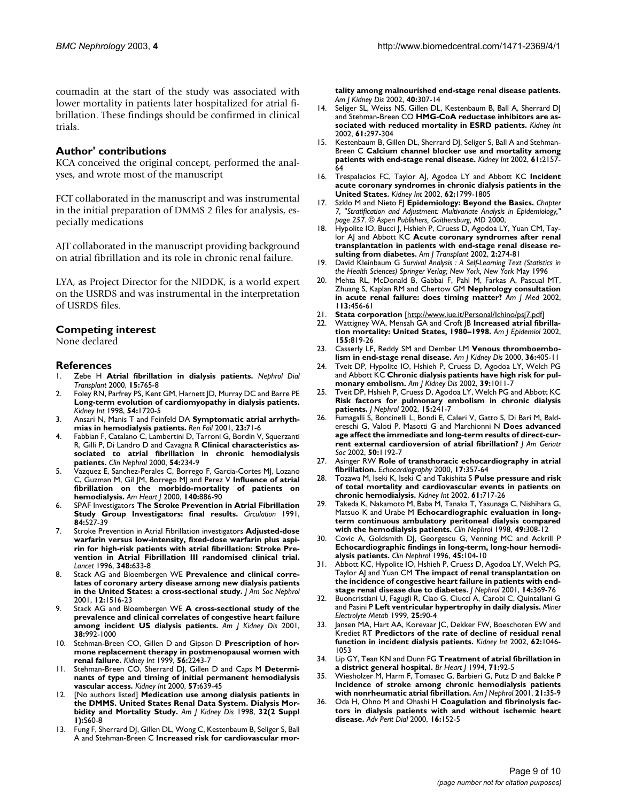coumadin at the start of the study was associated with lower mortality in patients later hospitalized for atrial fibrillation. These findings should be confirmed in clinical trials.

## **Author' contributions**

KCA conceived the original concept, performed the analyses, and wrote most of the manuscript

FCT collaborated in the manuscript and was instrumental in the initial preparation of DMMS 2 files for analysis, especially medications

AJT collaborated in the manuscript providing background on atrial fibrillation and its role in chronic renal failure.

LYA, as Project Director for the NIDDK, is a world expert on the USRDS and was instrumental in the interpretation of USRDS files.

## **Competing interest**

None declared

## **References**

- 1. Zebe H **[Atrial fibrillation in dialysis patients.](http://www.ncbi.nlm.nih.gov/entrez/query.fcgi?cmd=Retrieve&db=PubMed&dopt=Abstract&list_uids=10831625)** *Nephrol Dial Transplant* 2000, **15:**765-8
- 2. Foley RN, Parfrey PS, Kent GM, Harnett JD, Murray DC and Barre PE **[Long-term evolution of cardiomyopathy in dialysis patients.](http://www.ncbi.nlm.nih.gov/entrez/query.fcgi?cmd=Retrieve&db=PubMed&dopt=Abstract&list_uids=9844150)** *Kidney Int* 1998, **54:**1720-5
- 3. Ansari N, Manis T and Feinfeld DA **[Symptomatic atrial arrhyth](http://www.ncbi.nlm.nih.gov/entrez/query.fcgi?cmd=Retrieve&db=PubMed&dopt=Abstract&list_uids=11256531)[mias in hemodialysis patients.](http://www.ncbi.nlm.nih.gov/entrez/query.fcgi?cmd=Retrieve&db=PubMed&dopt=Abstract&list_uids=11256531)** *Ren Fail* 2001, **23:**71-6
- 4. Fabbian F, Catalano C, Lambertini D, Tarroni G, Bordin V, Squerzanti R, Gilli P, Di Landro D and Cavagna R **[Clinical characteristics as](http://www.ncbi.nlm.nih.gov/entrez/query.fcgi?cmd=Retrieve&db=PubMed&dopt=Abstract&list_uids=11020022)[sociated to atrial fibrillation in chronic hemodialysis](http://www.ncbi.nlm.nih.gov/entrez/query.fcgi?cmd=Retrieve&db=PubMed&dopt=Abstract&list_uids=11020022) [patients.](http://www.ncbi.nlm.nih.gov/entrez/query.fcgi?cmd=Retrieve&db=PubMed&dopt=Abstract&list_uids=11020022)** *Clin Nephrol* 2000, **54:**234-9
- 5. Vazquez E, Sanchez-Perales C, Borrego F, Garcia-Cortes MJ, Lozano C, Guzman M, Gil JM, Borrego MJ and Perez V **[Influence of atrial](http://www.ncbi.nlm.nih.gov/entrez/query.fcgi?cmd=Retrieve&db=PubMed&dopt=Abstract&list_uids=11099992) [fibrillation on the morbido-mortality of patients on](http://www.ncbi.nlm.nih.gov/entrez/query.fcgi?cmd=Retrieve&db=PubMed&dopt=Abstract&list_uids=11099992) [hemodialysis.](http://www.ncbi.nlm.nih.gov/entrez/query.fcgi?cmd=Retrieve&db=PubMed&dopt=Abstract&list_uids=11099992)** *Am Heart J* 2000, **140:**886-90
- 6. SPAF Investigators **[The Stroke Prevention in Atrial Fibrillation](http://www.ncbi.nlm.nih.gov/entrez/query.fcgi?cmd=Retrieve&db=PubMed&dopt=Abstract&list_uids=1860198) [Study Group Investigators: final results.](http://www.ncbi.nlm.nih.gov/entrez/query.fcgi?cmd=Retrieve&db=PubMed&dopt=Abstract&list_uids=1860198)** *Circulation* 1991, **84:**527-39
- 7. Stroke Prevention in Atrial Fibrillation investigators **[Adjusted-dose](http://www.ncbi.nlm.nih.gov/entrez/query.fcgi?cmd=Retrieve&db=PubMed&dopt=Abstract&list_uids=8782752) warfarin versus low-intensity, fixed-dose warfarin plus aspi[rin for high-risk patients with atrial fibrillation: Stroke Pre](http://www.ncbi.nlm.nih.gov/entrez/query.fcgi?cmd=Retrieve&db=PubMed&dopt=Abstract&list_uids=8782752)vention in Atrial Fibrillation III randomised clinical trial.** *Lancet* 1996, **348:**633-8
- Stack AG and Bloembergen WE [Prevalence and clinical corre](http://www.ncbi.nlm.nih.gov/entrez/query.fcgi?cmd=Retrieve&db=PubMed&dopt=Abstract&list_uids=11423581)**[lates of coronary artery disease among new dialysis patients](http://www.ncbi.nlm.nih.gov/entrez/query.fcgi?cmd=Retrieve&db=PubMed&dopt=Abstract&list_uids=11423581) [in the United States: a cross-sectional study.](http://www.ncbi.nlm.nih.gov/entrez/query.fcgi?cmd=Retrieve&db=PubMed&dopt=Abstract&list_uids=11423581)** *J Am Soc Nephrol* 2001, **12:**1516-23
- 9. Stack AG and Bloembergen WE **[A cross-sectional study of the](http://www.ncbi.nlm.nih.gov/entrez/query.fcgi?cmd=Retrieve&db=PubMed&dopt=Abstract&list_uids=11684552) [prevalence and clinical correlates of congestive heart failure](http://www.ncbi.nlm.nih.gov/entrez/query.fcgi?cmd=Retrieve&db=PubMed&dopt=Abstract&list_uids=11684552) [among incident US dialysis patients.](http://www.ncbi.nlm.nih.gov/entrez/query.fcgi?cmd=Retrieve&db=PubMed&dopt=Abstract&list_uids=11684552)** *Am J Kidney Dis* 2001, **38:**992-1000
- 10. Stehman-Breen CO, Gillen D and Gipson D **[Prescription of hor](http://www.ncbi.nlm.nih.gov/entrez/query.fcgi?cmd=Retrieve&db=PubMed&dopt=Abstract&list_uids=10594801)[mone replacement therapy in postmenopausal women with](http://www.ncbi.nlm.nih.gov/entrez/query.fcgi?cmd=Retrieve&db=PubMed&dopt=Abstract&list_uids=10594801) [renal failure.](http://www.ncbi.nlm.nih.gov/entrez/query.fcgi?cmd=Retrieve&db=PubMed&dopt=Abstract&list_uids=10594801)** *Kidney Int* 1999, **56:**2243-7
- 11. Stehman-Breen CO, Sherrard DJ, Gillen D and Caps M **[Determi](http://www.ncbi.nlm.nih.gov/entrez/query.fcgi?cmd=Retrieve&db=PubMed&dopt=Abstract&list_uids=10652042)[nants of type and timing of initial permanent hemodialysis](http://www.ncbi.nlm.nih.gov/entrez/query.fcgi?cmd=Retrieve&db=PubMed&dopt=Abstract&list_uids=10652042) [vascular access.](http://www.ncbi.nlm.nih.gov/entrez/query.fcgi?cmd=Retrieve&db=PubMed&dopt=Abstract&list_uids=10652042)** *Kidney Int* 2000, **57:**639-45
- 12. [No authors listed] **[Medication use among dialysis patients in](http://www.ncbi.nlm.nih.gov/entrez/query.fcgi?cmd=Retrieve&db=PubMed&dopt=Abstract&list_uids=9713408) [the DMMS. United States Renal Data System. Dialysis Mor](http://www.ncbi.nlm.nih.gov/entrez/query.fcgi?cmd=Retrieve&db=PubMed&dopt=Abstract&list_uids=9713408)[bidity and Mortality Study.](http://www.ncbi.nlm.nih.gov/entrez/query.fcgi?cmd=Retrieve&db=PubMed&dopt=Abstract&list_uids=9713408)** *Am J Kidney Dis* 1998, **32(2 Suppl 1):**S60-8
- 13. Fung F, Sherrard DJ, Gillen DL, Wong C, Kestenbaum B, Seliger S, Ball A and Stehman-Breen C **[Increased risk for cardiovascular mor-](http://www.ncbi.nlm.nih.gov/entrez/query.fcgi?cmd=Retrieve&db=PubMed&dopt=Abstract&list_uids=12148103)**

**[tality among malnourished end-stage renal disease patients.](http://www.ncbi.nlm.nih.gov/entrez/query.fcgi?cmd=Retrieve&db=PubMed&dopt=Abstract&list_uids=12148103)** *Am J Kidney Dis* 2002, **40:**307-14

- 14. Seliger SL, Weiss NS, Gillen DL, Kestenbaum B, Ball A, Sherrard DJ and Stehman-Breen CO **[HMG-CoA reductase inhibitors are as](http://www.ncbi.nlm.nih.gov/entrez/query.fcgi?cmd=Retrieve&db=PubMed&dopt=Abstract&list_uids=11786112)[sociated with reduced mortality in ESRD patients.](http://www.ncbi.nlm.nih.gov/entrez/query.fcgi?cmd=Retrieve&db=PubMed&dopt=Abstract&list_uids=11786112)** *Kidney Int* 2002, **61:**297-304
- 15. Kestenbaum B, Gillen DL, Sherrard DJ, Seliger S, Ball A and Stehman-Breen C **[Calcium channel blocker use and mortality among](http://www.ncbi.nlm.nih.gov/entrez/query.fcgi?cmd=Retrieve&db=PubMed&dopt=Abstract&list_uids=12028456) [patients with end-stage renal disease.](http://www.ncbi.nlm.nih.gov/entrez/query.fcgi?cmd=Retrieve&db=PubMed&dopt=Abstract&list_uids=12028456)** *Kidney Int* 2002, **61:**2157- 64
- 16. Trespalacios FC, Taylor AJ, Agodoa LY and Abbott KC **[Incident](http://www.ncbi.nlm.nih.gov/entrez/query.fcgi?cmd=Retrieve&db=PubMed&dopt=Abstract&list_uids=12371982) [acute coronary syndromes in chronic dialysis patients in the](http://www.ncbi.nlm.nih.gov/entrez/query.fcgi?cmd=Retrieve&db=PubMed&dopt=Abstract&list_uids=12371982) [United States.](http://www.ncbi.nlm.nih.gov/entrez/query.fcgi?cmd=Retrieve&db=PubMed&dopt=Abstract&list_uids=12371982)** *Kidney Int* 2002, **62:**1799-1805
- 17. Szklo M and Nieto FJ **Epidemiology: Beyond the Basics.** *Chapter 7, "Stratification and Adjustment: Multivariate Analysis in Epidemiology," page 257. © Aspen Publishers, Gaithersburg, MD* 2000,
- 18. Hypolite IO, Bucci J, Hshieh P, Cruess D, Agodoa LY, Yuan CM, Taylor AJ and Abbott KC **[Acute coronary syndromes after renal](http://www.ncbi.nlm.nih.gov/entrez/query.fcgi?cmd=Retrieve&db=PubMed&dopt=Abstract&list_uids=12096791) [transplantation in patients with end-stage renal disease re](http://www.ncbi.nlm.nih.gov/entrez/query.fcgi?cmd=Retrieve&db=PubMed&dopt=Abstract&list_uids=12096791)[sulting from diabetes.](http://www.ncbi.nlm.nih.gov/entrez/query.fcgi?cmd=Retrieve&db=PubMed&dopt=Abstract&list_uids=12096791)** *Am J Transplant* 2002, **2:**274-81
- 19. David Kleinbaum G *Survival Analysis : A Self-Learning Text (Statistics in the Health Sciences) Springer Verlag; New York, New York* May 1996
- 20. Mehta RL, McDonald B, Gabbai F, Pahl M, Farkas A, Pascual MT, Zhuang S, Kaplan RM and Chertow GM **[Nephrology consultation](http://www.ncbi.nlm.nih.gov/entrez/query.fcgi?cmd=Retrieve&db=PubMed&dopt=Abstract&list_uids=12427493) [in acute renal failure: does timing matter?](http://www.ncbi.nlm.nih.gov/entrez/query.fcgi?cmd=Retrieve&db=PubMed&dopt=Abstract&list_uids=12427493)** *Am J Med* 2002, **113:**456-61
- 21. **Stata corporation** [\[http://www.iue.it/Personal/Ichino/psj7.pdf\]](http://www.iue.it/Personal/Ichino/psj7.pdf)
- 22. Wattigney WA, Mensah GA and Croft JB **[Increased atrial fibrilla](http://www.ncbi.nlm.nih.gov/entrez/query.fcgi?cmd=Retrieve&db=PubMed&dopt=Abstract&list_uids=11978585)[tion mortality: United States, 1980–1998.](http://www.ncbi.nlm.nih.gov/entrez/query.fcgi?cmd=Retrieve&db=PubMed&dopt=Abstract&list_uids=11978585)** *Am J Epidemiol* 2002, **155:**819-26
- 23. Casserly LF, Reddy SM and Dember LM **[Venous thromboembo](http://www.ncbi.nlm.nih.gov/entrez/query.fcgi?cmd=Retrieve&db=PubMed&dopt=Abstract&list_uids=10922321)[lism in end-stage renal disease.](http://www.ncbi.nlm.nih.gov/entrez/query.fcgi?cmd=Retrieve&db=PubMed&dopt=Abstract&list_uids=10922321)** *Am J Kidney Dis* 2000, **36:**405-11
- 24. Tveit DP, Hypolite IO, Hshieh P, Cruess D, Agodoa LY, Welch PG and Abbott KC **[Chronic dialysis patients have high risk for pul](http://www.ncbi.nlm.nih.gov/entrez/query.fcgi?cmd=Retrieve&db=PubMed&dopt=Abstract&list_uids=11979344)[monary embolism.](http://www.ncbi.nlm.nih.gov/entrez/query.fcgi?cmd=Retrieve&db=PubMed&dopt=Abstract&list_uids=11979344)** *Am J Kidney Dis* 2002, **39:**1011-7
- 25. Tveit DP, Hshieh P, Cruess D, Agodoa LY, Welch PG and Abbott KC **[Risk factors for pulmonary embolism in chronic dialysis](http://www.ncbi.nlm.nih.gov/entrez/query.fcgi?cmd=Retrieve&db=PubMed&dopt=Abstract&list_uids=12113594) [patients.](http://www.ncbi.nlm.nih.gov/entrez/query.fcgi?cmd=Retrieve&db=PubMed&dopt=Abstract&list_uids=12113594)** *J Nephrol* 2002, **15:**241-7
- 26. Fumagalli S, Boncinelli L, Bondi E, Caleri V, Gatto S, Di Bari M, Baldereschi G, Valoti P, Masotti G and Marchionni N **[Does advanced](http://www.ncbi.nlm.nih.gov/entrez/query.fcgi?cmd=Retrieve&db=PubMed&dopt=Abstract&list_uids=12133012) [age affect the immediate and long-term results of direct-cur](http://www.ncbi.nlm.nih.gov/entrez/query.fcgi?cmd=Retrieve&db=PubMed&dopt=Abstract&list_uids=12133012)[rent external cardioversion of atrial fibrillation?](http://www.ncbi.nlm.nih.gov/entrez/query.fcgi?cmd=Retrieve&db=PubMed&dopt=Abstract&list_uids=12133012)** *J Am Geriatr Soc* 2002, **50:**1192-7
- 27. Asinger RW **[Role of transthoracic echocardiography in atrial](http://www.ncbi.nlm.nih.gov/entrez/query.fcgi?cmd=Retrieve&db=PubMed&dopt=Abstract&list_uids=10979008) [fibrillation.](http://www.ncbi.nlm.nih.gov/entrez/query.fcgi?cmd=Retrieve&db=PubMed&dopt=Abstract&list_uids=10979008)** *Echocardiography* 2000, **17:**357-64
- 28. Tozawa M, Iseki K, Iseki C and Takishita S **[Pulse pressure and risk](http://www.ncbi.nlm.nih.gov/entrez/query.fcgi?cmd=Retrieve&db=PubMed&dopt=Abstract&list_uids=11849415) [of total mortality and cardiovascular events in patients on](http://www.ncbi.nlm.nih.gov/entrez/query.fcgi?cmd=Retrieve&db=PubMed&dopt=Abstract&list_uids=11849415) [chronic hemodialysis.](http://www.ncbi.nlm.nih.gov/entrez/query.fcgi?cmd=Retrieve&db=PubMed&dopt=Abstract&list_uids=11849415)** *Kidney Int* 2002, **61:**717-26
- 29. Takeda K, Nakamoto M, Baba M, Tanaka T, Yasunaga C, Nishihara G, Matsuo K and Urabe M **[Echocardiographic evaluation in long](http://www.ncbi.nlm.nih.gov/entrez/query.fcgi?cmd=Retrieve&db=PubMed&dopt=Abstract&list_uids=9617495)[term continuous ambulatory peritoneal dialysis compared](http://www.ncbi.nlm.nih.gov/entrez/query.fcgi?cmd=Retrieve&db=PubMed&dopt=Abstract&list_uids=9617495) [with the hemodialysis patients.](http://www.ncbi.nlm.nih.gov/entrez/query.fcgi?cmd=Retrieve&db=PubMed&dopt=Abstract&list_uids=9617495)** *Clin Nephrol* 1998, **49:**308-12
- 30. Covic A, Goldsmith DJ, Georgescu G, Venning MC and Ackrill P **[Echocardiographic findings in long-term, long-hour hemodi](http://www.ncbi.nlm.nih.gov/entrez/query.fcgi?cmd=Retrieve&db=PubMed&dopt=Abstract&list_uids=8846522)[alysis patients.](http://www.ncbi.nlm.nih.gov/entrez/query.fcgi?cmd=Retrieve&db=PubMed&dopt=Abstract&list_uids=8846522)** *Clin Nephrol* 1996, **45:**104-10
- 31. Abbott KC, Hypolite IO, Hshieh P, Cruess D, Agodoa LY, Welch PG, Taylor AJ and Yuan CM **[The impact of renal transplantation on](http://www.ncbi.nlm.nih.gov/entrez/query.fcgi?cmd=Retrieve&db=PubMed&dopt=Abstract&list_uids=11730269) [the incidence of congestive heart failure in patients with end](http://www.ncbi.nlm.nih.gov/entrez/query.fcgi?cmd=Retrieve&db=PubMed&dopt=Abstract&list_uids=11730269)[stage renal disease due to diabetes.](http://www.ncbi.nlm.nih.gov/entrez/query.fcgi?cmd=Retrieve&db=PubMed&dopt=Abstract&list_uids=11730269)** *J Nephrol* 2001, **14:**369-76
- 32. Buoncristiani U, Fagugli R, Ciao G, Ciucci A, Carobi C, Quintaliani G and Pasini P **[Left ventricular hypertrophy in daily dialysis.](http://www.ncbi.nlm.nih.gov/entrez/query.fcgi?cmd=Retrieve&db=PubMed&dopt=Abstract&list_uids=10207267)** *Miner Electrolyte Metab* 1999, **25:**90-4
- Jansen MA, Hart AA, Korevaar JC, Dekker FW, Boeschoten EW and Krediet RT **[Predictors of the rate of decline of residual renal](http://www.ncbi.nlm.nih.gov/entrez/query.fcgi?cmd=Retrieve&db=PubMed&dopt=Abstract&list_uids=12164889) [function in incident dialysis patients.](http://www.ncbi.nlm.nih.gov/entrez/query.fcgi?cmd=Retrieve&db=PubMed&dopt=Abstract&list_uids=12164889)** *Kidney Int* 2002, **62:**1046- 1053
- 34. Lip GY, Tean KN and Dunn FG **[Treatment of atrial fibrillation in](http://www.ncbi.nlm.nih.gov/entrez/query.fcgi?cmd=Retrieve&db=PubMed&dopt=Abstract&list_uids=8297706) [a district general hospital.](http://www.ncbi.nlm.nih.gov/entrez/query.fcgi?cmd=Retrieve&db=PubMed&dopt=Abstract&list_uids=8297706)** *Br Heart J* 1994, **71:**92-5
- 35. Wiesholzer M, Harm F, Tomasec G, Barbieri G, Putz D and Balcke P **[Incidence of stroke among chronic hemodialysis patients](http://www.ncbi.nlm.nih.gov/entrez/query.fcgi?cmd=Retrieve&db=PubMed&dopt=Abstract&list_uids=11275630) [with nonrheumatic atrial fibrillation.](http://www.ncbi.nlm.nih.gov/entrez/query.fcgi?cmd=Retrieve&db=PubMed&dopt=Abstract&list_uids=11275630)** *Am J Nephrol* 2001, **21:**35-9
- 36. Oda H, Ohno M and Ohashi H **[Coagulation and fibrinolysis fac](http://www.ncbi.nlm.nih.gov/entrez/query.fcgi?cmd=Retrieve&db=PubMed&dopt=Abstract&list_uids=11045282)[tors in dialysis patients with and without ischemic heart](http://www.ncbi.nlm.nih.gov/entrez/query.fcgi?cmd=Retrieve&db=PubMed&dopt=Abstract&list_uids=11045282) [disease.](http://www.ncbi.nlm.nih.gov/entrez/query.fcgi?cmd=Retrieve&db=PubMed&dopt=Abstract&list_uids=11045282)** *Adv Perit Dial* 2000, **16:**152-5